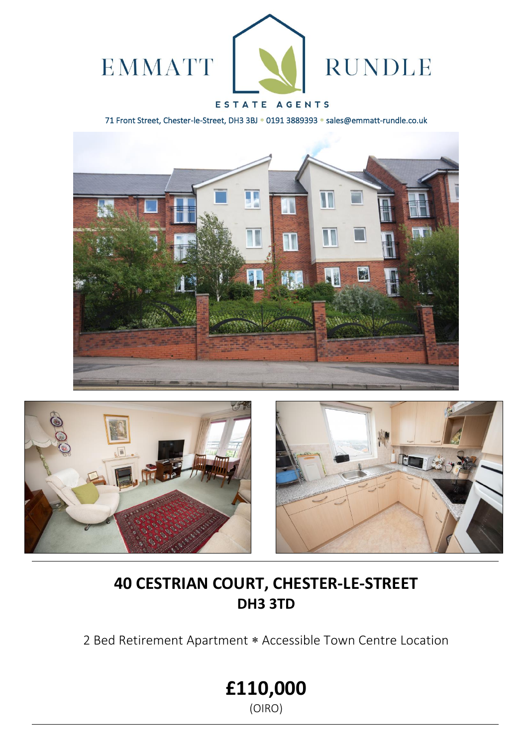

# ESTATE AGENTS

71 Front Street, Chester-le-Street, DH3 3BJ \* 0191 3889393 \* sales@emmatt-rundle.co.uk







# **40 CESTRIAN COURT, CHESTER-LE-STREET DH3 3TD**

2 Bed Retirement Apartment \* Accessible Town Centre Location

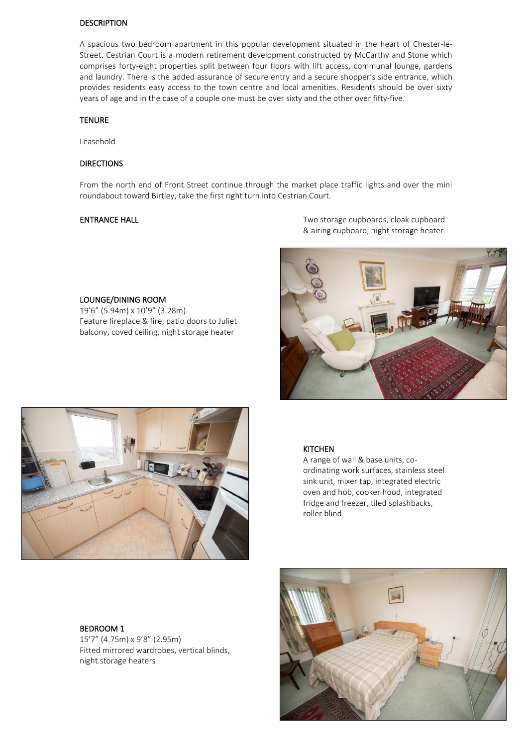### DESCRIPTION

A spacious two bedroom apartment in this popular development situated in the heart of Chester-le-Street. Cestrian Court is a modern retirement development constructed by McCarthy and Stone which comprises forty-eight properties split between four floors with lift access, communal lounge, gardens and laundry. There is the added assurance of secure entry and a secure shopper's side entrance, which provides residents easy access to the town centre and local amenities. Residents should be over sixty years of age and in the case of a couple one must be over sixty and the other over fifty-five.

### **TENURE**

Leasehold

### DIRECTIONS

From the north end of Front Street continue through the market place traffic lights and over the mini roundabout toward Birtley, take the first right turn into Cestrian Court.

LOUNGE/DINING ROOM 19'6" (5.94m) x 10'9" (3.28m)

Feature fireplace & fire, patio doors to Juliet balcony, coved ceiling, night storage heater

ENTRANCE HALL **ENTRANCE** HALL **ENTRANCE** HALL & airing cupboard, night storage heater





#### **KITCHEN**

A range of wall & base units, coordinating work surfaces, stainless steel sink unit, mixer tap, integrated electric oven and hob, cooker hood, integrated fridge and freezer, tiled splashbacks, roller blind

### BEDROOM 1

15'7" (4.75m) x 9'8" (2.95m) Fitted mirrored wardrobes, vertical blinds, night storage heaters

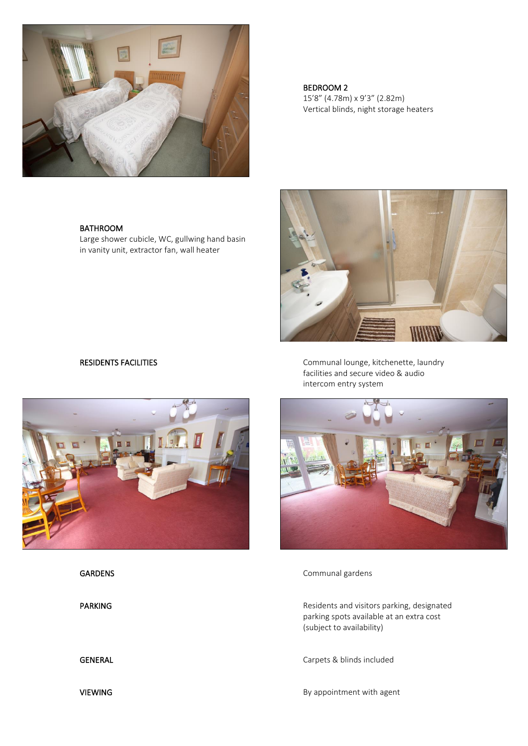

 BEDROOM 2 15'8" (4.78m) x 9'3" (2.82m) Vertical blinds, night storage heaters

RESIDENTS FACILITIES **COMMUNISTS** Communal lounge, kitchenette, laundry facilities and secure video & audio intercom entry system



GARDENS Communal gardens

PARKING PARKING Residents and visitors parking, designated parking spots available at an extra cost (subject to availability)

GENERAL GENERAL Carpets & blinds included

VIEWING **By appointment with agent** 

## BATHROOM

Large shower cubicle, WC, gullwing hand basin in vanity unit, extractor fan, wall heater